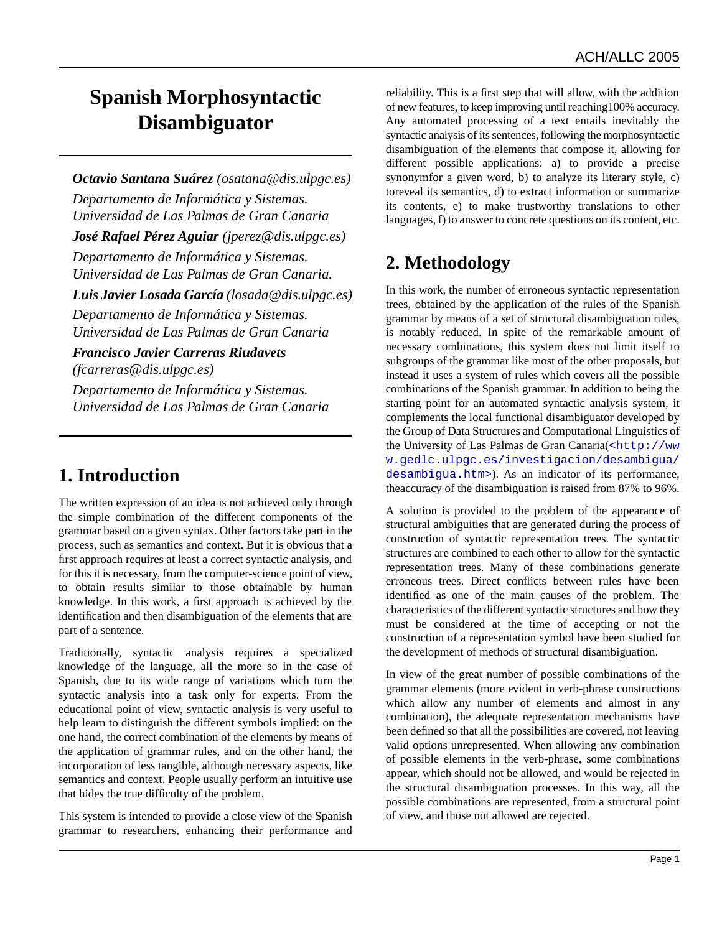# **Spanish Morphosyntactic Disambiguator**

*Octavio Santana Suárez (osatana@dis.ulpgc.es) Departamento de Informática y Sistemas. Universidad de Las Palmas de Gran Canaria José Rafael Pérez Aguiar (jperez@dis.ulpgc.es) Departamento de Informática y Sistemas. Universidad de Las Palmas de Gran Canaria. Luis Javier Losada García (losada@dis.ulpgc.es) Departamento de Informática y Sistemas. Universidad de Las Palmas de Gran Canaria Francisco Javier Carreras Riudavets (fcarreras@dis.ulpgc.es)*

*Departamento de Informática y Sistemas. Universidad de Las Palmas de Gran Canaria*

#### **1. Introduction**

The written expression of an idea is not achieved only through the simple combination of the different components of the grammar based on a given syntax. Other factors take part in the process, such as semantics and context. But it is obvious that a first approach requires at least a correct syntactic analysis, and for this it is necessary, from the computer-science point of view, to obtain results similar to those obtainable by human knowledge. In this work, a first approach is achieved by the identification and then disambiguation of the elements that are part of a sentence.

Traditionally, syntactic analysis requires a specialized knowledge of the language, all the more so in the case of Spanish, due to its wide range of variations which turn the syntactic analysis into a task only for experts. From the educational point of view, syntactic analysis is very useful to help learn to distinguish the different symbols implied: on the one hand, the correct combination of the elements by means of the application of grammar rules, and on the other hand, the incorporation of less tangible, although necessary aspects, like semantics and context. People usually perform an intuitive use that hides the true difficulty of the problem.

This system is intended to provide a close view of the Spanish grammar to researchers, enhancing their performance and reliability. This is a first step that will allow, with the addition of new features, to keep improving until reaching100% accuracy. Any automated processing of a text entails inevitably the syntactic analysis of its sentences, following the morphosyntactic disambiguation of the elements that compose it, allowing for different possible applications: a) to provide a precise synonymfor a given word, b) to analyze its literary style, c) toreveal its semantics, d) to extract information or summarize its contents, e) to make trustworthy translations to other languages, f) to answer to concrete questions on its content, etc.

### **2. Methodology**

In this work, the number of erroneous syntactic representation trees, obtained by the application of the rules of the Spanish grammar by means of a set of structural disambiguation rules, is notably reduced. In spite of the remarkable amount of necessary combinations, this system does not limit itself to subgroups of the grammar like most of the other proposals, but instead it uses a system of rules which covers all the possible combinations of the Spanish grammar. In addition to being the starting point for an automated syntactic analysis system, it complements the local functional disambiguator developed by the Group of Data Structures and Computational Linguistics of the University of Las Palmas de Gran Canaria([<http://ww](http://www.gedlc.ulpgc.es/investigacion/desambigua/desambigua.htm) [w.gedlc.ulpgc.es/investigacion/desambigua/](http://www.gedlc.ulpgc.es/investigacion/desambigua/desambigua.htm) [desambigua.htm>](http://www.gedlc.ulpgc.es/investigacion/desambigua/desambigua.htm)). As an indicator of its performance, theaccuracy of the disambiguation is raised from 87% to 96%.

A solution is provided to the problem of the appearance of structural ambiguities that are generated during the process of construction of syntactic representation trees. The syntactic structures are combined to each other to allow for the syntactic representation trees. Many of these combinations generate erroneous trees. Direct conflicts between rules have been identified as one of the main causes of the problem. The characteristics of the different syntactic structures and how they must be considered at the time of accepting or not the construction of a representation symbol have been studied for the development of methods of structural disambiguation.

In view of the great number of possible combinations of the grammar elements (more evident in verb-phrase constructions which allow any number of elements and almost in any combination), the adequate representation mechanisms have been defined so that all the possibilities are covered, not leaving valid options unrepresented. When allowing any combination of possible elements in the verb-phrase, some combinations appear, which should not be allowed, and would be rejected in the structural disambiguation processes. In this way, all the possible combinations are represented, from a structural point of view, and those not allowed are rejected.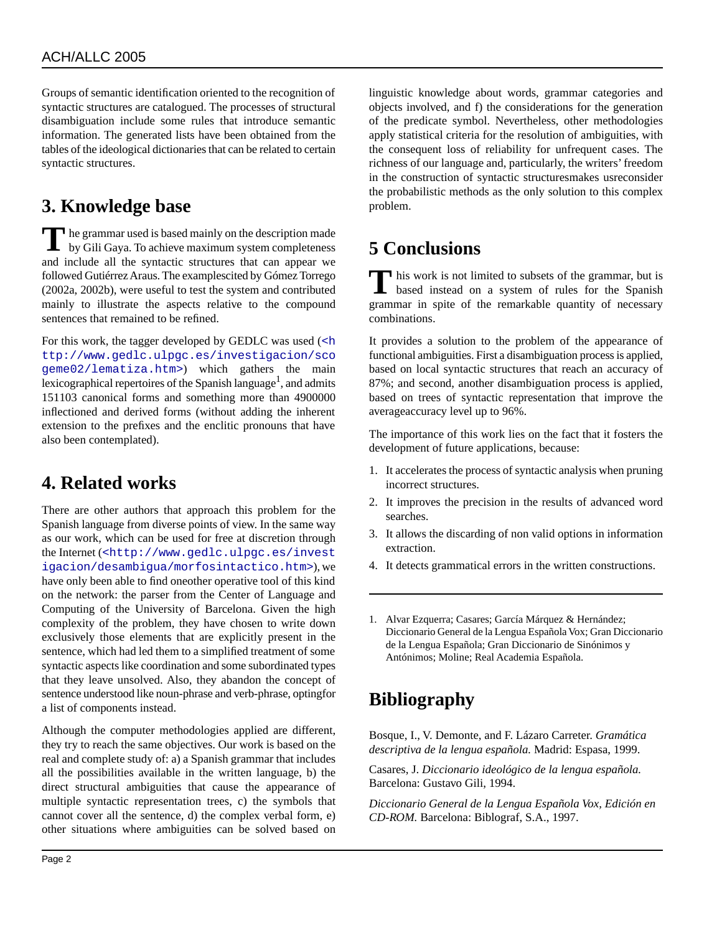Groups of semantic identification oriented to the recognition of syntactic structures are catalogued. The processes of structural disambiguation include some rules that introduce semantic information. The generated lists have been obtained from the tables of the ideological dictionaries that can be related to certain syntactic structures.

#### **3. Knowledge base**

The grammar used is based mainly on the description made<br>by Gili Gaya. To achieve maximum system completeness by Gili Gaya. To achieve maximum system completeness and include all the syntactic structures that can appear we followed Gutiérrez Araus. The examplescited by Gómez Torrego (2002a, 2002b), were useful to test the system and contributed mainly to illustrate the aspects relative to the compound sentences that remained to be refined.

For this work, the tagger developed by GEDLC was used ([<h](http://www.gedlc.ulpgc.es/investigacion/scogeme02/lematiza.htm) [ttp://www.gedlc.ulpgc.es/investigacion/sco](http://www.gedlc.ulpgc.es/investigacion/scogeme02/lematiza.htm) [geme02/lematiza.htm>](http://www.gedlc.ulpgc.es/investigacion/scogeme02/lematiza.htm)) which gathers the main lexicographical repertoires of the Spanish language<sup>1</sup>, and admits 151103 canonical forms and something more than 4900000 inflectioned and derived forms (without adding the inherent extension to the prefixes and the enclitic pronouns that have also been contemplated).

#### **4. Related works**

There are other authors that approach this problem for the Spanish language from diverse points of view. In the same way as our work, which can be used for free at discretion through the Internet ([<http://www.gedlc.ulpgc.es/invest](http://www.gedlc.ulpgc.es/investigacion/desambigua/morfosintactico.htm) [igacion/desambigua/morfosintactico.htm>](http://www.gedlc.ulpgc.es/investigacion/desambigua/morfosintactico.htm)), we have only been able to find oneother operative tool of this kind on the network: the parser from the Center of Language and Computing of the University of Barcelona. Given the high complexity of the problem, they have chosen to write down exclusively those elements that are explicitly present in the sentence, which had led them to a simplified treatment of some syntactic aspects like coordination and some subordinated types that they leave unsolved. Also, they abandon the concept of sentence understood like noun-phrase and verb-phrase, optingfor a list of components instead.

Although the computer methodologies applied are different, they try to reach the same objectives. Our work is based on the real and complete study of: a) a Spanish grammar that includes all the possibilities available in the written language, b) the direct structural ambiguities that cause the appearance of multiple syntactic representation trees, c) the symbols that cannot cover all the sentence, d) the complex verbal form, e) other situations where ambiguities can be solved based on linguistic knowledge about words, grammar categories and objects involved, and f) the considerations for the generation of the predicate symbol. Nevertheless, other methodologies apply statistical criteria for the resolution of ambiguities, with the consequent loss of reliability for unfrequent cases. The richness of our language and, particularly, the writers' freedom in the construction of syntactic structuresmakes usreconsider the probabilistic methods as the only solution to this complex problem.

## **5 Conclusions**

This work is not limited to subsets of the grammar, but is based instead on a system of rules for the Spanish his work is not limited to subsets of the grammar, but is grammar in spite of the remarkable quantity of necessary combinations.

It provides a solution to the problem of the appearance of functional ambiguities. First a disambiguation process is applied, based on local syntactic structures that reach an accuracy of 87%; and second, another disambiguation process is applied, based on trees of syntactic representation that improve the averageaccuracy level up to 96%.

The importance of this work lies on the fact that it fosters the development of future applications, because:

- 1. It accelerates the process of syntactic analysis when pruning incorrect structures.
- 2. It improves the precision in the results of advanced word searches.
- 3. It allows the discarding of non valid options in information extraction.
- 4. It detects grammatical errors in the written constructions.

1. Alvar Ezquerra; Casares; García Márquez & Hernández; Diccionario General de la Lengua Española Vox; Gran Diccionario de la Lengua Española; Gran Diccionario de Sinónimos y Antónimos; Moline; Real Academia Española.

### **Bibliography**

Bosque, I., V. Demonte, and F. Lázaro Carreter. *Gramática descriptiva de la lengua española.* Madrid: Espasa, 1999.

Casares, J. *Diccionario ideológico de la lengua española.* Barcelona: Gustavo Gili, 1994.

*Diccionario General de la Lengua Española Vox, Edición en CD-ROM.* Barcelona: Biblograf, S.A., 1997.